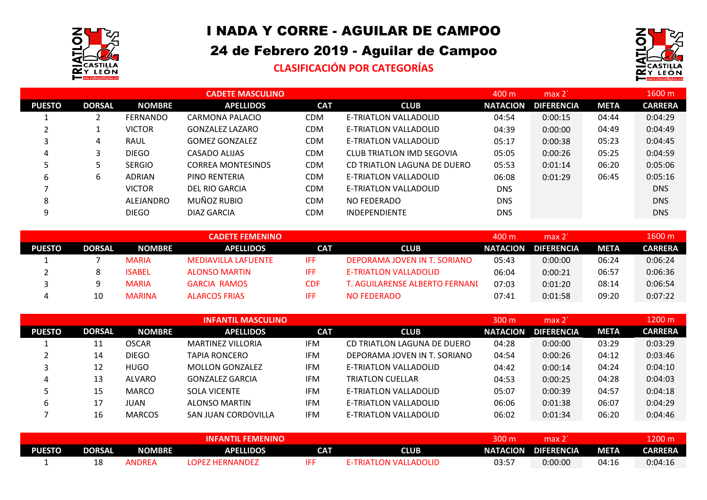

## I NADA Y CORRE - AGUILAR DE CAMPOO

## 24 de Febrero 2019 - Aguilar de Campoo

## **CLASIFICACIÓN POR CATEGORÍAS**



|               |               |                 | <b>CADETE MASCULINO</b>  |            |                             | 400 m           | max 2'            |             | 1600 m         |
|---------------|---------------|-----------------|--------------------------|------------|-----------------------------|-----------------|-------------------|-------------|----------------|
| <b>PUESTO</b> | <b>DORSAL</b> | <b>NOMBRE</b>   | <b>APELLIDOS</b>         | <b>CAT</b> | <b>CLUB</b>                 | <b>NATACION</b> | <b>DIFERENCIA</b> | <b>META</b> | <b>CARRERA</b> |
|               |               | <b>FERNANDO</b> | CARMONA PALACIO          | <b>CDM</b> | E-TRIATLON VALLADOLID       | 04:54           | 0:00:15           | 04:44       | 0:04:29        |
|               |               | <b>VICTOR</b>   | <b>GONZALEZ LAZARO</b>   | <b>CDM</b> | E-TRIATLON VALLADOLID       | 04:39           | 0:00:00           | 04:49       | 0:04:49        |
| 3             | 4             | <b>RAUL</b>     | <b>GOMEZ GONZALEZ</b>    | <b>CDM</b> | E-TRIATLON VALLADOLID       | 05:17           | 0:00:38           | 05:23       | 0:04:45        |
| 4             | 3             | <b>DIEGO</b>    | CASADO ALIJAS            | <b>CDM</b> | CLUB TRIATLON IMD SEGOVIA   | 05:05           | 0:00:26           | 05:25       | 0:04:59        |
| ٠,            |               | <b>SERGIO</b>   | <b>CORREA MONTESINOS</b> | <b>CDM</b> | CD TRIATLON LAGUNA DE DUERO | 05:53           | 0:01:14           | 06:20       | 0:05:06        |
| 6             | 6             | <b>ADRIAN</b>   | PINO RENTERIA            | <b>CDM</b> | E-TRIATLON VALLADOLID       | 06:08           | 0:01:29           | 06:45       | 0:05:16        |
|               |               | <b>VICTOR</b>   | DEL RIO GARCIA           | <b>CDM</b> | E-TRIATLON VALLADOLID       | <b>DNS</b>      |                   |             | <b>DNS</b>     |
| 8             |               | ALEJANDRO       | MUÑOZ RUBIO              | <b>CDM</b> | NO FEDERADO                 | <b>DNS</b>      |                   |             | <b>DNS</b>     |
| 9             |               | <b>DIEGO</b>    | DIAZ GARCIA              | CDM        | <b>INDEPENDIENTE</b>        | <b>DNS</b>      |                   |             | <b>DNS</b>     |

|               |               |               | <b>CADETE FEMENINO</b>     |            |                                  | 400 m           | max <sub>2</sub>  |             | 1600 m         |
|---------------|---------------|---------------|----------------------------|------------|----------------------------------|-----------------|-------------------|-------------|----------------|
| <b>PUESTO</b> | <b>DORSAL</b> | <b>NOMBRE</b> | <b>APELLIDOS</b>           | <b>CAT</b> | <b>CLUB</b>                      | <b>NATACION</b> | <b>DIFERENCIA</b> | <b>META</b> | <b>CARRERA</b> |
|               |               | <b>MARIA</b>  | <b>MEDIAVILLA LAFUENTE</b> | <b>IFF</b> | DEPORAMA JOVEN IN T. SORIANO     | 05:43           | 0:00:00           | 06:24       | 0:06:24        |
|               |               | <b>ISABEL</b> | <b>ALONSO MARTIN</b>       | IFF        | E-TRIATLON VALLADOLID            | 06:04           | 0:00:21           | 06:57       | 0:06:36        |
|               |               | <b>MARIA</b>  | <b>GARCIA RAMOS</b>        | <b>CDF</b> | T. AGUILARENSE ALBERTO FERNANI I | 07:03           | 0:01:20           | 08:14       | 0:06:54        |
| 4             | 10            | <b>MARINA</b> | <b>ALARCOS FRIAS</b>       | IFF        | NO FEDERADO                      | 07:41           | 0:01:58           | 09:20       | 0:07:22        |

|               |               |               | <b>INFANTIL MASCULINO</b> |            |                              | 300 <sub>m</sub> | max 2'            |             | 1200 m         |
|---------------|---------------|---------------|---------------------------|------------|------------------------------|------------------|-------------------|-------------|----------------|
| <b>PUESTO</b> | <b>DORSAL</b> | <b>NOMBRE</b> | <b>APELLIDOS</b>          | <b>CAT</b> | <b>CLUB</b>                  | <b>NATACION</b>  | <b>DIFERENCIA</b> | <b>META</b> | <b>CARRERA</b> |
|               | 11            | <b>OSCAR</b>  | <b>MARTINEZ VILLORIA</b>  | <b>IFM</b> | CD TRIATLON LAGUNA DE DUERO  | 04:28            | 0:00:00           | 03:29       | 0:03:29        |
|               | 14            | <b>DIEGO</b>  | <b>TAPIA RONCERO</b>      | <b>IFM</b> | DEPORAMA JOVEN IN T. SORIANO | 04:54            | 0:00:26           | 04:12       | 0:03:46        |
| 3             | 12            | HUGO          | <b>MOLLON GONZALEZ</b>    | <b>IFM</b> | E-TRIATLON VALLADOLID        | 04:42            | 0:00:14           | 04:24       | 0:04:10        |
| 4             | 13            | <b>ALVARO</b> | <b>GONZALEZ GARCIA</b>    | <b>IFM</b> | <b>TRIATLON CUELLAR</b>      | 04:53            | 0:00:25           | 04:28       | 0:04:03        |
|               | 15            | <b>MARCO</b>  | <b>SOLA VICENTE</b>       | <b>IFM</b> | E-TRIATLON VALLADOLID        | 05:07            | 0:00:39           | 04:57       | 0:04:18        |
| 6             | 17            | IUAN          | ALONSO MARTIN             | <b>IFM</b> | E-TRIATLON VALLADOLID        | 06:06            | 0:01:38           | 06:07       | 0:04:29        |
|               | 16            | <b>MARCOS</b> | SAN JUAN CORDOVILLA       | <b>IFM</b> | E-TRIATLON VALLADOLID        | 06:02            | 0:01:34           | 06:20       | 0:04:46        |

|               | <b>INFANTIL FEMENINO</b> |        |                        |            |                              |                 | max 2             |       | 200 m          |
|---------------|--------------------------|--------|------------------------|------------|------------------------------|-----------------|-------------------|-------|----------------|
| <b>PUESTO</b> | <b>DORSAL</b>            | NOMBRE | <b>APELLIDOS</b>       | <b>CAT</b> | CLUB                         | <b>NATACION</b> | <b>DIFERENCIA</b> | META  | <b>CARRERA</b> |
|               | ∸                        | ANDREA | <b>LOPEZ HERNANDEZ</b> |            | <b>E-TRIATLON VALLADOLID</b> | 03:57           | 0:00:00           | 04:16 | 0:04:16        |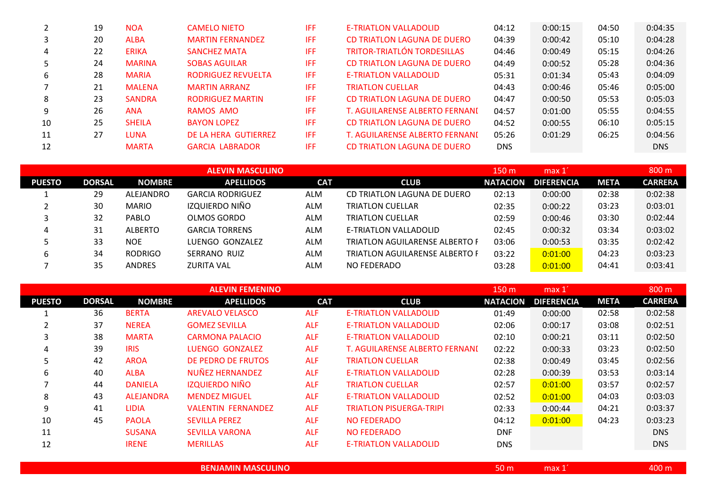|    | 19 | <b>NOA</b>    | <b>CAMELO NIETO</b>       | IFF | <b>E-TRIATLON VALLADOLID</b>       | 04:12      | 0:00:15 | 04:50 | 0:04:35    |
|----|----|---------------|---------------------------|-----|------------------------------------|------------|---------|-------|------------|
|    | 20 | <b>ALBA</b>   | <b>MARTIN FERNANDEZ</b>   | IFF | CD TRIATLON LAGUNA DE DUERO        | 04:39      | 0:00:42 | 05:10 | 0:04:28    |
| 4  | 22 | <b>ERIKA</b>  | <b>SANCHEZ MATA</b>       | IFF | <b>TRITOR-TRIATLÓN TORDESILLAS</b> | 04:46      | 0:00:49 | 05:15 | 0:04:26    |
|    | 24 | <b>MARINA</b> | <b>SOBAS AGUILAR</b>      | IFF | CD TRIATLON LAGUNA DE DUERO        | 04:49      | 0:00:52 | 05:28 | 0:04:36    |
| 6  | 28 | <b>MARIA</b>  | <b>RODRIGUEZ REVUELTA</b> | IFF | E-TRIATLON VALLADOLID              | 05:31      | 0:01:34 | 05:43 | 0:04:09    |
|    | 21 | <b>MALENA</b> | <b>MARTIN ARRANZ</b>      | IFF | <b>TRIATLON CUELLAR</b>            | 04:43      | 0:00:46 | 05:46 | 0:05:00    |
| 8  | 23 | <b>SANDRA</b> | <b>RODRIGUEZ MARTIN</b>   | IFF | CD TRIATLON LAGUNA DE DUERO        | 04:47      | 0:00:50 | 05:53 | 0:05:03    |
| 9  | 26 | <b>ANA</b>    | RAMOS AMO                 | IFF | T. AGUILARENSE ALBERTO FERNANI     | 04:57      | 0:01:00 | 05:55 | 0:04:55    |
| 10 | 25 | <b>SHEILA</b> | <b>BAYON LOPEZ</b>        | IFF | CD TRIATLON LAGUNA DE DUERO        | 04:52      | 0:00:55 | 06:10 | 0:05:15    |
| 11 | 27 | LUNA          | DE LA HERA GUTIERREZ      | IFF | T. AGUILARENSE ALBERTO FERNANI     | 05:26      | 0:01:29 | 06:25 | 0:04:56    |
| 12 |    | <b>MARTA</b>  | <b>GARCIA LABRADOR</b>    | IFF | CD TRIATLON LAGUNA DE DUERO        | <b>DNS</b> |         |       | <b>DNS</b> |

|               |               |                | <b>ALEVIN MASCULINO</b> |            |                                | 150 m           | max 1             |             | 800 <sub>m</sub> |
|---------------|---------------|----------------|-------------------------|------------|--------------------------------|-----------------|-------------------|-------------|------------------|
| <b>PUESTO</b> | <b>DORSAL</b> | <b>NOMBRE</b>  | <b>APELLIDOS</b>        | <b>CAT</b> | <b>CLUB</b>                    | <b>NATACION</b> | <b>DIFERENCIA</b> | <b>META</b> | <b>CARRERA</b>   |
|               | 29            | ALEJANDRO      | <b>GARCIA RODRIGUEZ</b> | <b>ALM</b> | CD TRIATLON LAGUNA DE DUERO    | 02:13           | 0:00:00           | 02:38       | 0:02:38          |
|               | 30            | <b>MARIO</b>   | IZQUIERDO NIÑO          | <b>ALM</b> | TRIATLON CUELLAR               | 02:35           | 0:00:22           | 03:23       | 0:03:01          |
|               | 32            | <b>PABLO</b>   | OLMOS GORDO             | <b>ALM</b> | TRIATLON CUELLAR               | 02:59           | 0:00:46           | 03:30       | 0:02:44          |
| 4             | 31            | ALBERTO        | <b>GARCIA TORRENS</b>   | <b>ALM</b> | E-TRIATLON VALLADOLID          | 02:45           | 0:00:32           | 03:34       | 0:03:02          |
|               | 33            | <b>NOE</b>     | LUENGO GONZALEZ         | <b>ALM</b> | TRIATLON AGUILARENSE ALBERTO F | 03:06           | 0:00:53           | 03:35       | 0:02:42          |
| b             | 34            | <b>RODRIGO</b> | SERRANO RUIZ            | <b>ALM</b> | TRIATLON AGUILARENSE ALBERTO F | 03:22           | 0:01:00           | 04:23       | 0:03:23          |
|               | 35            | <b>ANDRES</b>  | <b>ZURITA VAL</b>       | <b>ALM</b> | NO FEDERADO                    | 03:28           | 0:01:00           | 04:41       | 0:03:41          |

|               |               |                  | <b>ALEVIN FEMENINO</b>    |            |                                | 150 <sub>m</sub> | max 1             |             | 800 <sub>m</sub> |
|---------------|---------------|------------------|---------------------------|------------|--------------------------------|------------------|-------------------|-------------|------------------|
| <b>PUESTO</b> | <b>DORSAL</b> | <b>NOMBRE</b>    | <b>APELLIDOS</b>          | <b>CAT</b> | <b>CLUB</b>                    | <b>NATACION</b>  | <b>DIFERENCIA</b> | <b>META</b> | <b>CARRERA</b>   |
|               | 36            | <b>BERTA</b>     | <b>AREVALO VELASCO</b>    | <b>ALF</b> | <b>E-TRIATLON VALLADOLID</b>   | 01:49            | 0:00:00           | 02:58       | 0:02:58          |
|               | 37            | <b>NEREA</b>     | <b>GOMEZ SEVILLA</b>      | <b>ALF</b> | <b>E-TRIATLON VALLADOLID</b>   | 02:06            | 0:00:17           | 03:08       | 0:02:51          |
| 3             | 38            | <b>MARTA</b>     | <b>CARMONA PALACIO</b>    | <b>ALF</b> | E-TRIATLON VALLADOLID          | 02:10            | 0:00:21           | 03:11       | 0:02:50          |
| 4             | 39            | <b>IRIS</b>      | LUENGO GONZALEZ           | <b>ALF</b> | T. AGUILARENSE ALBERTO FERNANI | 02:22            | 0:00:33           | 03:23       | 0:02:50          |
| 5             | 42            | <b>AROA</b>      | DE PEDRO DE FRUTOS        | <b>ALF</b> | <b>TRIATLON CUELLAR</b>        | 02:38            | 0:00:49           | 03:45       | 0:02:56          |
| 6             | 40            | <b>ALBA</b>      | <b>NUÑEZ HERNANDEZ</b>    | <b>ALF</b> | <b>E-TRIATLON VALLADOLID</b>   | 02:28            | 0:00:39           | 03:53       | 0:03:14          |
| ⇁             | 44            | <b>DANIELA</b>   | <b>IZQUIERDO NIÑO</b>     | <b>ALF</b> | <b>TRIATLON CUELLAR</b>        | 02:57            | 0:01:00           | 03:57       | 0:02:57          |
| 8             | 43            | <b>ALEJANDRA</b> | <b>MENDEZ MIGUEL</b>      | <b>ALF</b> | <b>E-TRIATLON VALLADOLID</b>   | 02:52            | 0:01:00           | 04:03       | 0:03:03          |
| 9             | 41            | <b>LIDIA</b>     | <b>VALENTIN FERNANDEZ</b> | <b>ALF</b> | <b>TRIATLON PISUERGA-TRIPI</b> | 02:33            | 0:00:44           | 04:21       | 0:03:37          |
| 10            | 45            | <b>PAOLA</b>     | <b>SEVILLA PEREZ</b>      | <b>ALF</b> | <b>NO FEDERADO</b>             | 04:12            | 0:01:00           | 04:23       | 0:03:23          |
| 11            |               | <b>SUSANA</b>    | <b>SEVILLA VARONA</b>     | <b>ALF</b> | <b>NO FEDERADO</b>             | <b>DNF</b>       |                   |             | <b>DNS</b>       |
| 12            |               | <b>IRENE</b>     | <b>MERILLAS</b>           | <b>ALF</b> | <b>E-TRIATLON VALLADOLID</b>   | <b>DNS</b>       |                   |             | <b>DNS</b>       |

| <b>BENJAMIN MASCULINO</b> | 50 m' | max <sub>x</sub> | 400 m |
|---------------------------|-------|------------------|-------|
|                           |       |                  |       |